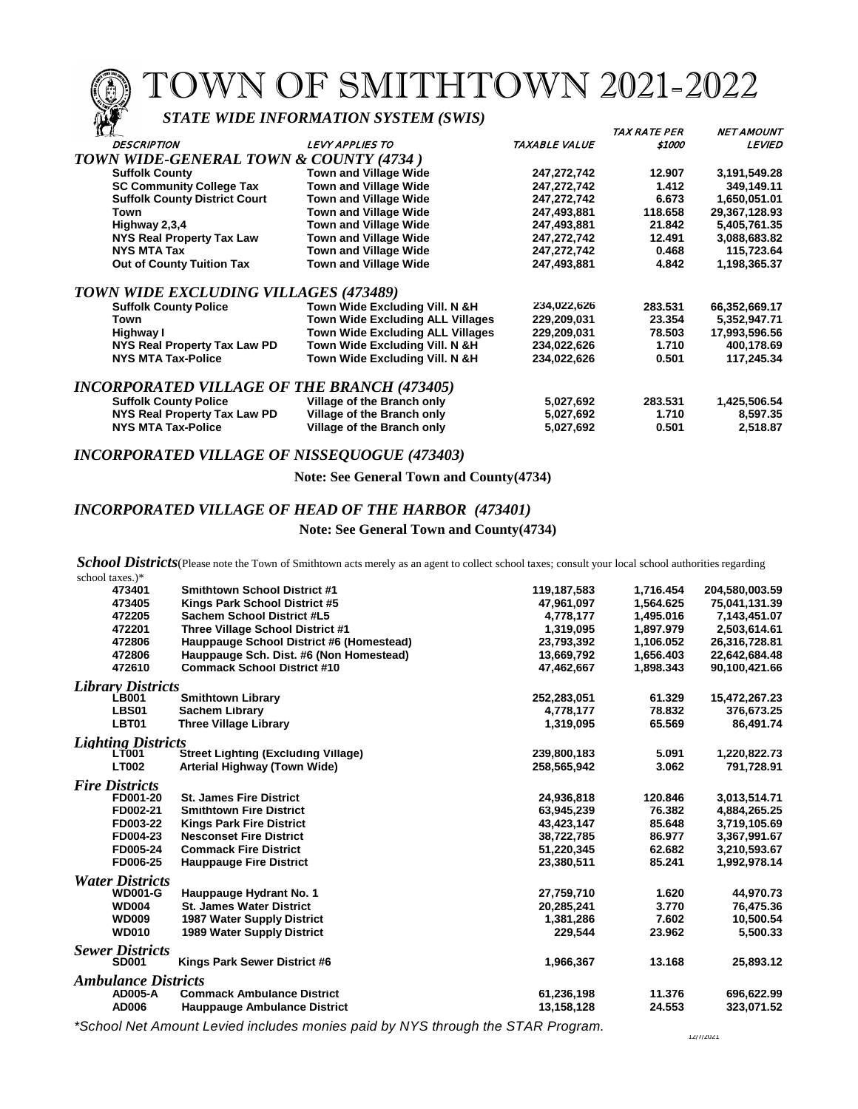TOWN OF SMITHTOWN 2021-2022

## *STATE WIDE INFORMATION SYSTEM (SWIS)*

| $\mathbf{u}_k$                                     |                                         |               | <i>TAX RATE PER</i> | <b>NET AMOUNT</b> |
|----------------------------------------------------|-----------------------------------------|---------------|---------------------|-------------------|
| <b>DESCRIPTION</b>                                 | <b>LEVY APPLIES TO</b>                  | TAXABLE VALUE | \$1000              | <b>LEVIED</b>     |
| TOWN WIDE-GENERAL TOWN & COUNTY (4734)             |                                         |               |                     |                   |
| <b>Suffolk County</b>                              | <b>Town and Village Wide</b>            | 247,272,742   | 12.907              | 3,191,549.28      |
| <b>SC Community College Tax</b>                    | <b>Town and Village Wide</b>            | 247,272,742   | 1.412               | 349,149.11        |
| <b>Suffolk County District Court</b>               | <b>Town and Village Wide</b>            | 247,272,742   | 6.673               | 1,650,051.01      |
| Town                                               | <b>Town and Village Wide</b>            | 247,493,881   | 118.658             | 29,367,128.93     |
| Highway 2,3,4                                      | <b>Town and Village Wide</b>            | 247,493,881   | 21.842              | 5,405,761.35      |
| <b>NYS Real Property Tax Law</b>                   | <b>Town and Village Wide</b>            | 247,272,742   | 12.491              | 3,088,683.82      |
| <b>NYS MTA Tax</b>                                 | <b>Town and Village Wide</b>            | 247,272,742   | 0.468               | 115,723.64        |
| <b>Out of County Tuition Tax</b>                   | Town and Village Wide                   | 247,493,881   | 4.842               | 1,198,365.37      |
| TOWN WIDE EXCLUDING VILLAGES (473489)              |                                         |               |                     |                   |
| <b>Suffolk County Police</b>                       | Town Wide Excluding Vill. N &H          | 234,022,626   | 283.531             | 66,352,669.17     |
| Town                                               | <b>Town Wide Excluding ALL Villages</b> | 229,209,031   | 23.354              | 5,352,947.71      |
| Highway I                                          | <b>Town Wide Excluding ALL Villages</b> | 229,209,031   | 78.503              | 17,993,596.56     |
| NYS Real Property Tax Law PD                       | Town Wide Excluding Vill. N &H          | 234,022,626   | 1.710               | 400,178.69        |
| <b>NYS MTA Tax-Police</b>                          | Town Wide Excluding Vill. N &H          | 234,022,626   | 0.501               | 117,245.34        |
| <b>INCORPORATED VILLAGE OF THE BRANCH (473405)</b> |                                         |               |                     |                   |
| <b>Suffolk County Police</b>                       | Village of the Branch only              | 5,027,692     | 283.531             | 1,425,506.54      |
| NYS Real Property Tax Law PD                       | Village of the Branch only              | 5,027,692     | 1.710               | 8,597.35          |
| <b>NYS MTA Tax-Police</b>                          | Village of the Branch only              | 5,027,692     | 0.501               | 2,518.87          |

### *INCORPORATED VILLAGE OF NISSEQUOGUE (473403)*

**Note: See General Town and County(4734)**

#### *INCORPORATED VILLAGE OF HEAD OF THE HARBOR (473401)*

#### **Note: See General Town and County(4734)**

School Districts (Please note the Town of Smithtown acts merely as an agent to collect school taxes; consult your local school authorities regarding school taxes.)\*

| $0011001$ $00100$          |                                            |             |           |                |
|----------------------------|--------------------------------------------|-------------|-----------|----------------|
| 473401                     | <b>Smithtown School District #1</b>        | 119,187,583 | 1,716.454 | 204,580,003.59 |
| 473405                     | Kings Park School District #5              | 47,961,097  | 1,564.625 | 75,041,131.39  |
| 472205                     | Sachem School District #L5                 | 4,778,177   | 1,495.016 | 7,143,451.07   |
| 472201                     | Three Village School District #1           | 1,319,095   | 1,897.979 | 2,503,614.61   |
| 472806                     | Hauppauge School District #6 (Homestead)   | 23,793,392  | 1,106.052 | 26,316,728.81  |
| 472806                     | Hauppauge Sch. Dist. #6 (Non Homestead)    | 13,669,792  | 1,656.403 | 22,642,684.48  |
| 472610                     | <b>Commack School District #10</b>         | 47,462,667  | 1.898.343 | 90,100,421.66  |
| <b>Library Districts</b>   |                                            |             |           |                |
| <b>LB001</b>               | <b>Smithtown Library</b>                   | 252,283,051 | 61.329    | 15,472,267.23  |
| <b>LBS01</b>               | <b>Sachem Library</b>                      | 4,778,177   | 78.832    | 376,673.25     |
| LBT01                      | <b>Three Village Library</b>               | 1,319,095   | 65.569    | 86,491.74      |
| <b>Lighting Districts</b>  |                                            |             |           |                |
| <b>LT001</b>               | <b>Street Lighting (Excluding Village)</b> | 239,800,183 | 5.091     | 1,220,822.73   |
| <b>LT002</b>               | Arterial Highway (Town Wide)               | 258,565,942 | 3.062     | 791,728.91     |
| <b>Fire Districts</b>      |                                            |             |           |                |
| FD001-20                   | <b>St. James Fire District</b>             | 24,936,818  | 120.846   | 3,013,514.71   |
| FD002-21                   | <b>Smithtown Fire District</b>             | 63,945,239  | 76.382    | 4,884,265.25   |
| FD003-22                   | <b>Kings Park Fire District</b>            | 43,423,147  | 85.648    | 3,719,105.69   |
| FD004-23                   | <b>Nesconset Fire District</b>             | 38,722,785  | 86.977    | 3,367,991.67   |
| FD005-24                   | <b>Commack Fire District</b>               | 51,220,345  | 62.682    | 3,210,593.67   |
| FD006-25                   | <b>Hauppauge Fire District</b>             | 23,380,511  | 85.241    | 1,992,978.14   |
| <b>Water Districts</b>     |                                            |             |           |                |
| <b>WD001-G</b>             | Hauppauge Hydrant No. 1                    | 27,759,710  | 1.620     | 44,970.73      |
| <b>WD004</b>               | <b>St. James Water District</b>            | 20,285,241  | 3.770     | 76,475.36      |
| <b>WD009</b>               | 1987 Water Supply District                 | 1,381,286   | 7.602     | 10,500.54      |
| <b>WD010</b>               | 1989 Water Supply District                 | 229.544     | 23.962    | 5,500.33       |
| <b>Sewer Districts</b>     |                                            |             |           |                |
| <b>SD001</b>               | Kings Park Sewer District #6               | 1,966,367   | 13.168    | 25,893.12      |
| <b>Ambulance Districts</b> |                                            |             |           |                |
| <b>AD005-A</b>             | <b>Commack Ambulance District</b>          | 61,236,198  | 11.376    | 696,622.99     |
| <b>AD006</b>               | <b>Hauppauge Ambulance District</b>        | 13,158,128  | 24.553    | 323,071.52     |
|                            |                                            |             |           |                |

*\*School Net Amount Levied includes monies paid by NYS through the STAR Program.*

12/7/2021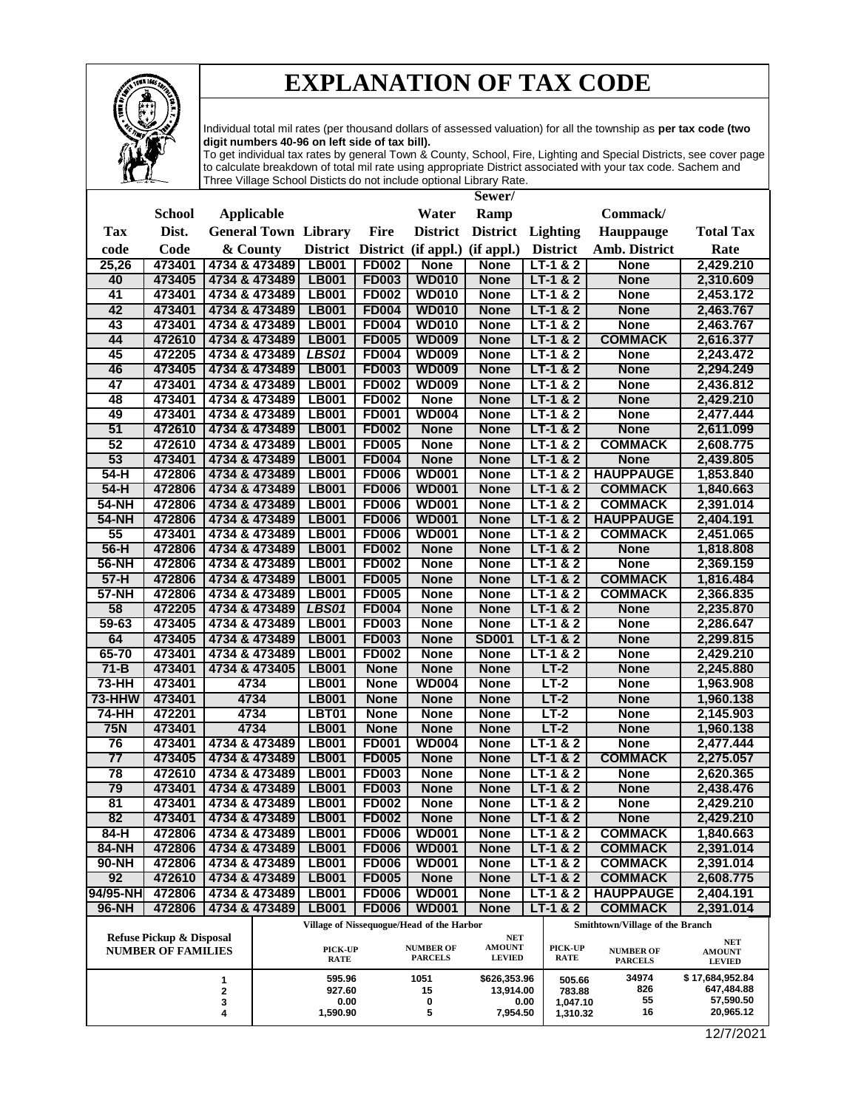

# **EXPLANATION OF TAX CODE**

Individual total mil rates (per thousand dollars of assessed valuation) for all the township as **per tax code (two digit numbers 40-96 on left side of tax bill).**

To get individual tax rates by general Town & County, School, Fire, Lighting and Special Districts, see cover page to calculate breakdown of total mil rate using appropriate District associated with your tax code. Sachem and Three Village School Disticts do not include optional Library Rate.

|                 |                                                       |                                |                              |                              |                                           | Sewer/                      |                          |                                 |                             |
|-----------------|-------------------------------------------------------|--------------------------------|------------------------------|------------------------------|-------------------------------------------|-----------------------------|--------------------------|---------------------------------|-----------------------------|
|                 | <b>School</b>                                         | <b>Applicable</b>              |                              |                              | Water                                     | Ramp                        |                          | Commack/                        |                             |
| Tax             | Dist.                                                 | <b>General Town Library</b>    |                              | <b>Fire</b>                  | <b>District</b>                           | <b>District</b>             | Lighting                 | Hauppauge                       | <b>Total Tax</b>            |
| code            | Code                                                  | & County                       |                              |                              | District District (if appl.) (if appl.)   |                             | <b>District</b>          | Amb. District                   | Rate                        |
| 25,26           | 473401                                                | 4734 & 473489                  | <b>LB001</b>                 | <b>FD002</b>                 | <b>None</b>                               | <b>None</b>                 | $LT-1 & 2$               | <b>None</b>                     | 2,429.210                   |
| 40              | 473405                                                | 4734 & 473489                  | <b>LB001</b>                 | <b>FD003</b>                 | <b>WD010</b>                              | <b>None</b>                 | $LT-1 & 2$               | <b>None</b>                     | 2,310.609                   |
| 41              | 473401                                                | 4734 & 473489                  | <b>LB001</b>                 | <b>FD002</b>                 | <b>WD010</b>                              | <b>None</b>                 | $LT-1 & 2$               | <b>None</b>                     | 2,453.172                   |
| 42              | 473401                                                | 4734 & 473489                  | <b>LB001</b>                 | <b>FD004</b>                 | <b>WD010</b>                              | <b>None</b>                 | $LT-1 & 2$               | <b>None</b>                     | 2,463.767                   |
| 43              | 473401                                                | 4734 & 473489                  | <b>LB001</b>                 | <b>FD004</b>                 | <b>WD010</b>                              | <b>None</b>                 | $LT-1 & 2$               | <b>None</b>                     | 2,463.767                   |
| 44              | 472610                                                | 4734 & 473489                  | <b>LB001</b>                 | <b>FD005</b>                 | <b>WD009</b>                              | <b>None</b>                 | $LT-1 & 2$               | <b>COMMACK</b>                  | 2,616.377                   |
| 45              | 472205                                                | 4734 & 473489                  | <b>LBS01</b>                 | <b>FD004</b>                 | <b>WD009</b>                              | <b>None</b>                 | $LT-1 & 2$               | <b>None</b>                     | 2,243.472                   |
| 46              | 473405                                                | 4734 & 473489                  | <b>LB001</b>                 | <b>FD003</b>                 | <b>WD009</b>                              | <b>None</b>                 | $LT-1 & 2$               | <b>None</b>                     | 2,294.249                   |
| 47              | 473401                                                | 4734 & 473489                  | <b>LB001</b>                 | <b>FD002</b>                 | <b>WD009</b>                              | <b>None</b>                 | $LT-1 & 2$               | <b>None</b>                     | 2,436.812                   |
| 48              | 473401                                                | 4734 & 473489                  | LB001                        | <b>FD002</b>                 | <b>None</b>                               | <b>None</b>                 | $LT-1 & 2$               | <b>None</b>                     | 2,429.210                   |
| 49              | 473401                                                | 4734 & 473489                  | <b>LB001</b>                 | <b>FD001</b>                 | <b>WD004</b>                              | <b>None</b>                 | $LT-1 & 2$               | <b>None</b>                     | 2,477.444                   |
| 51              | 472610                                                | 4734 & 473489                  | <b>LB001</b>                 | <b>FD002</b>                 | <b>None</b>                               | <b>None</b>                 | $LT-1 & 2$               | <b>None</b>                     | 2,611.099                   |
| 52              | 472610                                                | 4734 & 473489                  | <b>LB001</b>                 | <b>FD005</b>                 | <b>None</b>                               | <b>None</b>                 | $LT-1 & 82$              | <b>COMMACK</b>                  | 2,608.775                   |
| 53              | 473401                                                | 4734 & 473489                  | <b>LB001</b>                 | <b>FD004</b>                 | <b>None</b>                               | <b>None</b>                 | $LT-1 & 2$               | <b>None</b>                     | 2,439.805                   |
| $54-H$          | 472806                                                | 4734 & 473489                  | <b>LB001</b>                 | <b>FD006</b>                 | <b>WD001</b>                              | <b>None</b>                 | $LT-1 & 2$               | <b>HAUPPAUGE</b>                | 1,853.840                   |
| $54-H$          | 472806                                                | 4734 & 473489                  | LB001                        | <b>FD006</b>                 | <b>WD001</b>                              | <b>None</b>                 | $LT-1 & 2$               | <b>COMMACK</b>                  | 1,840.663                   |
| <b>54-NH</b>    | 472806                                                | 4734 & 473489                  | <b>LB001</b>                 | <b>FD006</b>                 | <b>WD001</b>                              | <b>None</b>                 | $LT-1 & 82$              | <b>COMMACK</b>                  | 2,391.014                   |
| <b>54-NH</b>    | 472806                                                | 4734 & 473489                  | <b>LB001</b>                 | <b>FD006</b>                 | <b>WD001</b>                              | <b>None</b>                 | $LT-1 & 2$               | <b>HAUPPAUGE</b>                | 2,404.191                   |
| 55<br>$56-H$    | 473401<br>472806                                      | 4734 & 473489<br>4734 & 473489 | <b>LB001</b><br><b>LB001</b> | <b>FD006</b><br><b>FD002</b> | <b>WD001</b><br><b>None</b>               | <b>None</b><br><b>None</b>  | $LT-1 & 2$<br>$LT-1 & 2$ | <b>COMMACK</b><br><b>None</b>   | 2,451.065                   |
| 56-NH           | 472806                                                | 4734 & 473489                  | <b>LB001</b>                 | <b>FD002</b>                 | <b>None</b>                               | <b>None</b>                 | $LT-1 & 2$               | <b>None</b>                     | 1,818.808<br>2,369.159      |
| $57-H$          | 472806                                                | 4734 & 473489                  | <b>LB001</b>                 | <b>FD005</b>                 | <b>None</b>                               | <b>None</b>                 | $LT-1 & 2$               | <b>COMMACK</b>                  | 1,816.484                   |
| <b>57-NH</b>    | 472806                                                | 4734 & 473489                  | <b>LB001</b>                 | <b>FD005</b>                 | <b>None</b>                               | <b>None</b>                 | $LT-1 & 2$               | <b>COMMACK</b>                  | 2,366.835                   |
| 58              | 472205                                                | 4734 & 473489                  | <b>LBS01</b>                 | <b>FD004</b>                 | <b>None</b>                               | <b>None</b>                 | $LT-1 & 2$               | <b>None</b>                     | 2,235.870                   |
| 59-63           | 473405                                                | 4734 & 473489                  | <b>LB001</b>                 | <b>FD003</b>                 | <b>None</b>                               | <b>None</b>                 | $LT-1 & 2$               | <b>None</b>                     | 2,286.647                   |
| 64              | 473405                                                | 4734 & 473489                  | <b>LB001</b>                 | <b>FD003</b>                 | <b>None</b>                               | <b>SD001</b>                | $LT-1 & 2$               | <b>None</b>                     | 2,299.815                   |
| 65-70           | 473401                                                | 4734 & 473489                  | <b>LB001</b>                 | <b>FD002</b>                 | <b>None</b>                               | <b>None</b>                 | $LT-1 & 2$               | <b>None</b>                     | 2,429.210                   |
| $71 - B$        | 473401                                                | 4734 & 473405                  | <b>LB001</b>                 | <b>None</b>                  | <b>None</b>                               | <b>None</b>                 | $LT-2$                   | <b>None</b>                     | 2,245.880                   |
| 73-HH           | 473401                                                | 4734                           | <b>LB001</b>                 | <b>None</b>                  | <b>WD004</b>                              | <b>None</b>                 | $LT-2$                   | <b>None</b>                     | 1,963.908                   |
| 73-HHW          | 473401                                                | 4734                           | <b>LB001</b>                 | <b>None</b>                  | <b>None</b>                               | <b>None</b>                 | $LT-2$                   | <b>None</b>                     | 1,960.138                   |
| 74-HH           | 472201                                                | 4734                           | <b>LBT01</b>                 | <b>None</b>                  | <b>None</b>                               | <b>None</b>                 | $LT-2$                   | <b>None</b>                     | 2,145.903                   |
| <b>75N</b>      | 473401                                                | 4734                           | <b>LB001</b>                 | <b>None</b>                  | <b>None</b>                               | <b>None</b>                 | $LT-2$                   | <b>None</b>                     | 1,960.138                   |
| 76              | 473401                                                | 4734 & 473489                  | <b>LB001</b>                 | <b>FD001</b>                 | <b>WD004</b>                              | <b>None</b>                 | $LT-1 & 82$              | <b>None</b>                     | 2,477.444                   |
| $\overline{77}$ | 473405                                                | 4734 & 473489                  | <b>LB001</b>                 | <b>FD005</b>                 | <b>None</b>                               | <b>None</b>                 | $LT-1 & 2$               | <b>COMMACK</b>                  | 2,275.057                   |
| 78              | 472610                                                | 4734 & 473489                  | <b>LB001</b>                 | <b>FD003</b>                 | <b>None</b>                               | <b>None</b>                 | $LT-1$ & 2               | <b>None</b>                     | 2,620.365                   |
| 79              | 473401                                                | 4734 & 473489                  | <b>LB001</b>                 | <b>FD003</b>                 | <b>None</b>                               | <b>None</b>                 | $LT-1 & 2$               | <b>None</b>                     | 2,438.476                   |
| 81              | 473401                                                | 4734 & 473489                  | <b>LB001</b>                 | <b>FD002</b>                 | <b>None</b>                               | <b>None</b>                 | $LT-1 & 2$               | <b>None</b>                     | 2,429.210                   |
| 82              | 473401                                                | 4734 & 473489 LB001            |                              | <b>FD002</b>                 | <b>None</b>                               | <b>None</b>                 | $LT-1 & 2$               | <b>None</b>                     | 2,429.210                   |
| 84-H            | 472806                                                | 4734 & 473489                  | <b>LB001</b>                 | <b>FD006</b>                 | <b>WD001</b>                              | <b>None</b>                 | $LT-1 & 2$               | <b>COMMACK</b>                  | 1,840.663                   |
| 84-NH           | 472806                                                | 4734 & 473489                  | <b>LB001</b>                 | <b>FD006</b>                 | <b>WD001</b>                              | <b>None</b>                 | $LT-1 & 2$               | <b>COMMACK</b>                  | 2,391.014                   |
| 90-NH           | 472806                                                | 4734 & 473489                  | LB001                        | <b>FD006</b>                 | <b>WD001</b>                              | <b>None</b>                 | $LT-1 & 2$               | <b>COMMACK</b>                  | 2,391.014                   |
| 92              | 472610                                                | 4734 & 473489                  | <b>LB001</b>                 | <b>FD005</b>                 | <b>None</b>                               | <b>None</b>                 | $LT-1 & 2$               | <b>COMMACK</b>                  | 2,608.775                   |
| 94/95-NH        | 472806                                                | 4734 & 473489                  | LB001                        | <b>FD006</b>                 | <b>WD001</b>                              | <b>None</b>                 | $LT-1 & 2$               | <b>HAUPPAUGE</b>                | 2,404.191                   |
| 96-NH           | 472806                                                | 4734 & 473489                  | <b>LB001</b>                 | <b>FD006</b>                 | <b>WD001</b>                              | <b>None</b>                 | $LT-1 & 82$              | <b>COMMACK</b>                  | 2,391.014                   |
|                 |                                                       |                                |                              |                              | Village of Nissequogue/Head of the Harbor |                             |                          | Smithtown/Village of the Branch |                             |
|                 | Refuse Pickup & Disposal<br><b>NUMBER OF FAMILIES</b> |                                | PICK-UP                      |                              | <b>NUMBER OF</b>                          | <b>NET</b><br><b>AMOUNT</b> | PICK-UP                  | <b>NUMBER OF</b>                | <b>NET</b><br><b>AMOUNT</b> |
|                 |                                                       |                                | <b>RATE</b>                  |                              | <b>PARCELS</b>                            | <b>LEVIED</b>               | <b>RATE</b>              | <b>PARCELS</b>                  | <b>LEVIED</b>               |
|                 |                                                       | 1                              | 595.96                       |                              | 1051                                      | \$626,353.96                | 505.66                   | 34974                           | \$17,684,952.84             |
|                 |                                                       | 2<br>3                         | 927.60<br>0.00               |                              | 15<br>0                                   | 13,914.00                   | 783.88<br>0.00           | 826<br>55                       | 647,484.88<br>57,590.50     |
|                 |                                                       | 4                              | 1,590.90                     |                              | 5                                         | 7,954.50                    | 1,047.10<br>1,310.32     | 16                              | 20,965.12                   |